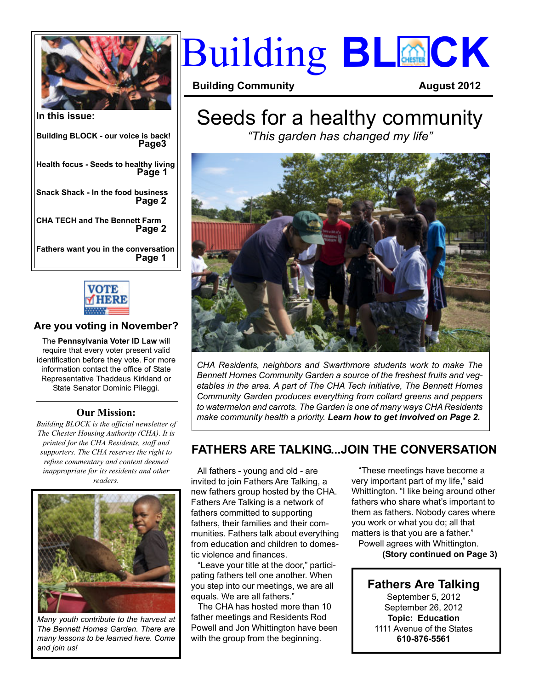

**In this issue: Building BLOCK - our voice is back! Health focus - Seeds to healthy living Snack Shack - In the food business CHA TECH and The Bennett Farm Fathers want you in the conversation Page 2 Page 1 Page 2 Page3 Page 1**



#### **Are you voting in November?**

The **Pennsylvania Voter ID Law** will require that every voter present valid identification before they vote. For more information contact the office of State Representative Thaddeus Kirkland or State Senator Dominic Pileggi.

#### **Our Mission:**

*Building BLOCK is the official newsletter of The Chester Housing Authority (CHA). It is printed for the CHA Residents, staff and supporters. The CHA reserves the right to refuse commentary and content deemed inappropriate for its residents and other readers.*



*Many youth contribute to the harvest at The Bennett Homes Garden. There are many lessons to be learned here. Come and join us!*

# **Building BLOCK**

**Building Community August 2012**

### Seeds for a healthy community *"This garden has changed my life"*



*CHA Residents, neighbors and Swarthmore students work to make The Bennett Homes Community Garden a source of the freshest fruits and vegetables in the area. A part of The CHA Tech initiative, The Bennett Homes Community Garden produces everything from collard greens and peppers to watermelon and carrots. The Garden is one of many ways CHA Residents make community health a priority. Learn how to get involved on Page 2.*

### **FATHERS ARE TALKING...JOIN THE CONVERSATION**

 All fathers - young and old - are invited to join Fathers Are Talking, a new fathers group hosted by the CHA. Fathers Are Talking is a network of fathers committed to supporting fathers, their families and their communities. Fathers talk about everything from education and children to domestic violence and finances.

 "Leave your title at the door," participating fathers tell one another. When you step into our meetings, we are all equals. We are all fathers."

 The CHA has hosted more than 10 father meetings and Residents Rod Powell and Jon Whittington have been with the group from the beginning.

 "These meetings have become a very important part of my life," said Whittington. "I like being around other fathers who share what's important to them as fathers. Nobody cares where you work or what you do; all that matters is that you are a father."

 Powell agrees with Whittington.  **(Story continued on Page 3)**

**Fathers Are Talking** September 5, 2012 September 26, 2012 **Topic: Education** 1111 Avenue of the States **610-876-5561**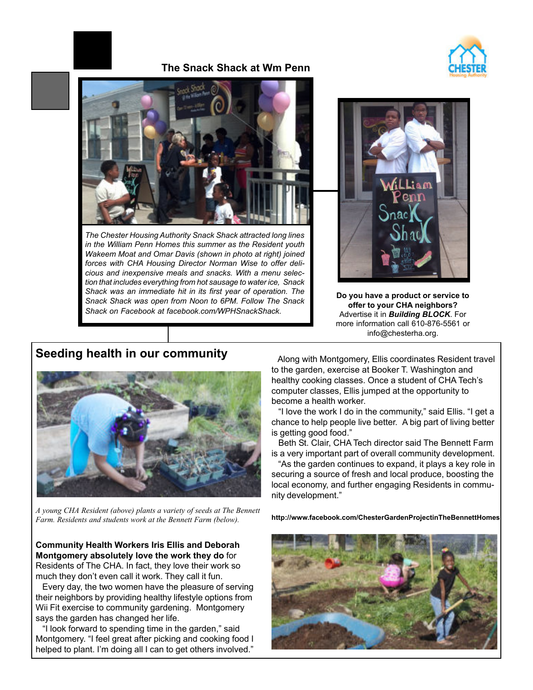

#### **The Snack Shack at Wm Penn**



*The Chester Housing Authority Snack Shack attracted long lines in the William Penn Homes this summer as the Resident youth Wakeem Moat and Omar Davis (shown in photo at right) joined forces with CHA Housing Director Norman Wise to offer delicious and inexpensive meals and snacks. With a menu selection that includes everything from hot sausage to water ice, Snack Shack was an immediate hit in its first year of operation. The Snack Shack was open from Noon to 6PM. Follow The Snack Shack on Facebook at facebook.com/WPHSnackShack.*



**Do you have a product or service to offer to your CHA neighbors?** Advertise it in *Building BLOCK*. For more information call 610-876-5561 or info@chesterha.org.

#### **Seeding health in our community**



*A young CHA Resident (above) plants a variety of seeds at The Bennett Farm. Residents and students work at the Bennett Farm (below).* **http://www.facebook.com/ChesterGardenProjectinTheBennettHomes**

**Community Health Workers Iris Ellis and Deborah Montgomery absolutely love the work they do** for Residents of The CHA. In fact, they love their work so much they don't even call it work. They call it fun.

 Every day, the two women have the pleasure of serving their neighbors by providing healthy lifestyle options from Wii Fit exercise to community gardening. Montgomery says the garden has changed her life.

 "I look forward to spending time in the garden," said Montgomery. "I feel great after picking and cooking food I helped to plant. I'm doing all I can to get others involved."

 Along with Montgomery, Ellis coordinates Resident travel to the garden, exercise at Booker T. Washington and healthy cooking classes. Once a student of CHA Tech's computer classes, Ellis jumped at the opportunity to become a health worker.

 "I love the work I do in the community," said Ellis. "I get a chance to help people live better. A big part of living better is getting good food."

 Beth St. Clair, CHA Tech director said The Bennett Farm is a very important part of overall community development.

 "As the garden continues to expand, it plays a key role in securing a source of fresh and local produce, boosting the local economy, and further engaging Residents in community development."

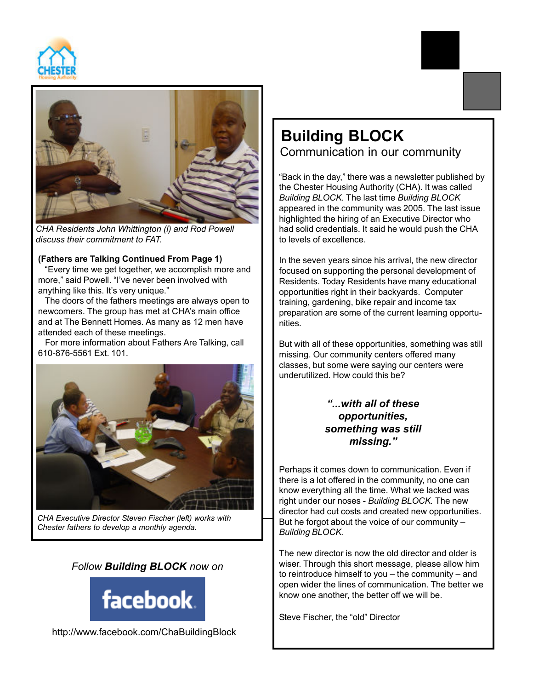



*CHA Residents John Whittington (l) and Rod Powell discuss their commitment to FAT.*

#### **(Fathers are Talking Continued From Page 1)**

 "Every time we get together, we accomplish more and more," said Powell. "I've never been involved with anything like this. It's very unique."

 The doors of the fathers meetings are always open to newcomers. The group has met at CHA's main office and at The Bennett Homes. As many as 12 men have attended each of these meetings.

 For more information about Fathers Are Talking, call 610-876-5561 Ext. 101.



*CHA Executive Director Steven Fischer (left) works with Chester fathers to develop a monthly agenda.*

#### *Follow Building BLOCK now on*



# **Building BLOCK** Communication in our community

"Back in the day," there was a newsletter published by the Chester Housing Authority (CHA). It was called *Building BLOCK*. The last time *Building BLOCK* appeared in the community was 2005. The last issue highlighted the hiring of an Executive Director who had solid credentials. It said he would push the CHA to levels of excellence.

In the seven years since his arrival, the new director focused on supporting the personal development of Residents. Today Residents have many educational opportunities right in their backyards. Computer training, gardening, bike repair and income tax preparation are some of the current learning opportunities.

But with all of these opportunities, something was still missing. Our community centers offered many classes, but some were saying our centers were underutilized. How could this be?

#### *"...with all of these opportunities, something was still missing."*

Perhaps it comes down to communication. Even if there is a lot offered in the community, no one can know everything all the time. What we lacked was right under our noses - *Building BLOCK.* The new director had cut costs and created new opportunities. But he forgot about the voice of our community – *Building BLOCK.*

The new director is now the old director and older is wiser. Through this short message, please allow him to reintroduce himself to you – the community – and open wider the lines of communication. The better we know one another, the better off we will be.

Steve Fischer, the "old" Director

http://www.facebook.com/ChaBuildingBlock